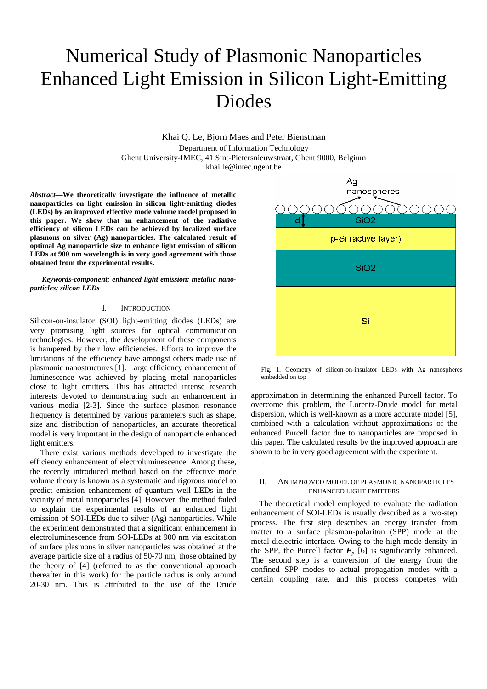# Numerical Study of Plasmonic Nanoparticles Enhanced Light Emission in Silicon Light-Emitting Diodes

Khai Q. Le, Bjorn Maes and Peter Bienstman Department of Information Technology Ghent University-IMEC, 41 Sint-Pietersnieuwstraat, Ghent 9000, Belgium khai.le@intec.ugent.be

.

*Abstract***—We theoretically investigate the influence of metallic nanoparticles on light emission in silicon light-emitting diodes (LEDs) by an improved effective mode volume model proposed in this paper. We show that an enhancement of the radiative efficiency of silicon LEDs can be achieved by localized surface plasmons on silver (Ag) nanoparticles. The calculated result of optimal Ag nanoparticle size to enhance light emission of silicon LEDs at 900 nm wavelength is in very good agreement with those obtained from the experimental results.**

*Keywords-component; enhanced light emission; metallic nanoparticles; silicon LEDs* 

# I. INTRODUCTION

Silicon-on-insulator (SOI) light-emitting diodes (LEDs) are very promising light sources for optical communication technologies. However, the development of these components is hampered by their low efficiencies. Efforts to improve the limitations of the efficiency have amongst others made use of plasmonic nanostructures [1]. Large efficiency enhancement of luminescence was achieved by placing metal nanoparticles close to light emitters. This has attracted intense research interests devoted to demonstrating such an enhancement in various media [2-3]. Since the surface plasmon resonance frequency is determined by various parameters such as shape, size and distribution of nanoparticles, an accurate theoretical model is very important in the design of nanoparticle enhanced light emitters.

There exist various methods developed to investigate the efficiency enhancement of electroluminescence. Among these, the recently introduced method based on the effective mode volume theory is known as a systematic and rigorous model to predict emission enhancement of quantum well LEDs in the vicinity of metal nanoparticles [4]. However, the method failed to explain the experimental results of an enhanced light emission of SOI-LEDs due to silver (Ag) nanoparticles. While the experiment demonstrated that a significant enhancement in electroluminescence from SOI-LEDs at 900 nm via excitation of surface plasmons in silver nanoparticles was obtained at the average particle size of a radius of 50-70 nm, those obtained by the theory of [4] (referred to as the conventional approach thereafter in this work) for the particle radius is only around 20-30 nm. This is attributed to the use of the Drude



Fig. 1. Geometry of silicon-on-insulator LEDs with Ag nanospheres embedded on top

approximation in determining the enhanced Purcell factor. To overcome this problem, the Lorentz-Drude model for metal dispersion, which is well-known as a more accurate model [5], combined with a calculation without approximations of the enhanced Purcell factor due to nanoparticles are proposed in this paper. The calculated results by the improved approach are shown to be in very good agreement with the experiment.

## II. AN IMPROVED MODEL OF PLASMONIC NANOPARTICLES ENHANCED LIGHT EMITTERS

The theoretical model employed to evaluate the radiation enhancement of SOI-LEDs is usually described as a two-step process. The first step describes an energy transfer from matter to a surface plasmon-polariton (SPP) mode at the metal-dielectric interface. Owing to the high mode density in the SPP, the Purcell factor  $F_p$  [6] is significantly enhanced. The second step is a conversion of the energy from the confined SPP modes to actual propagation modes with a certain coupling rate, and this process competes with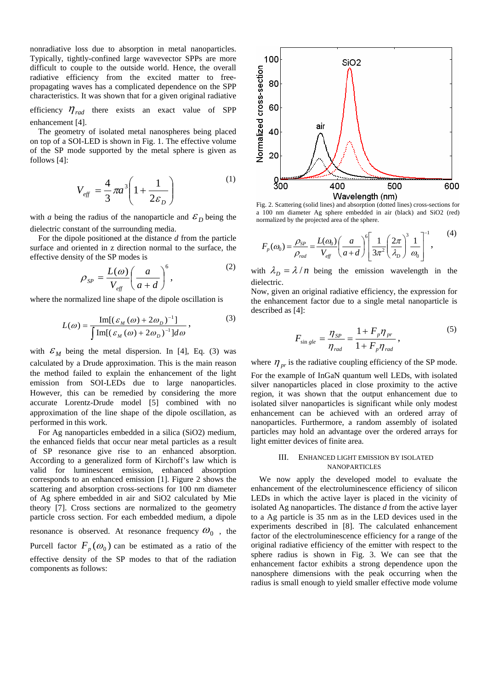nonradiative loss due to absorption in metal nanoparticles. Typically, tightly-confined large wavevector SPPs are more difficult to couple to the outside world. Hence, the overall radiative efficiency from the excited matter to freepropagating waves has a complicated dependence on the SPP characteristics. It was shown that for a given original radiative

efficiency  $\eta_{rad}$  there exists an exact value of SPP enhancement [4].

The geometry of isolated metal nanospheres being placed on top of a SOI-LED is shown in Fig. 1. The effective volume of the SP mode supported by the metal sphere is given as follows [4]:

$$
V_{\text{eff}} = \frac{4}{3}\pi a^3 \left(1 + \frac{1}{2\varepsilon_D}\right) \tag{1}
$$

with *a* being the radius of the nanoparticle and  $\mathcal{E}_D$  being the dielectric constant of the surrounding media.

For the dipole positioned at the distance *d* from the particle surface and oriented in z direction normal to the surface, the effective density of the SP modes is

$$
\rho_{SP} = \frac{L(\omega)}{V_{\text{eff}}} \left(\frac{a}{a+d}\right)^6, \tag{2}
$$

where the normalized line shape of the dipole oscillation is

$$
L(\omega) = \frac{\operatorname{Im}[(\varepsilon_M(\omega) + 2\omega_D)^{-1}]}{\int \operatorname{Im}[(\varepsilon_M(\omega) + 2\omega_D)^{-1}]d\omega},
$$
\n(3)

with  $\mathcal{E}_M$  being the metal dispersion. In [4], Eq. (3) was calculated by a Drude approximation. This is the main reason the method failed to explain the enhancement of the light emission from SOI-LEDs due to large nanoparticles. However, this can be remedied by considering the more accurate Lorentz-Drude model [5] combined with no approximation of the line shape of the dipole oscillation, as performed in this work.

For Ag nanoparticles embedded in a silica (SiO2) medium, the enhanced fields that occur near metal particles as a result of SP resonance give rise to an enhanced absorption. According to a generalized form of Kirchoff's law which is valid for luminescent emission, enhanced absorption corresponds to an enhanced emission [1]. Figure 2 shows the scattering and absorption cross-sections for 100 nm diameter of Ag sphere embedded in air and SiO2 calculated by Mie theory [7]. Cross sections are normalized to the geometry particle cross section. For each embedded medium, a dipole resonance is observed. At resonance frequency  $\omega_0$ , the

Purcell factor  $F_p(\omega_0)$  can be estimated as a ratio of the effective density of the SP modes to that of the radiation components as follows:



Fig. 2. Scattering (solid lines) and absorption (dotted lines) cross-sections for a 100 nm diameter Ag sphere embedded in air (black) and SiO2 (red) normalized by the projected area of the sphere.

$$
F_p(\omega_0) = \frac{\rho_{SP}}{\rho_{rad}} = \frac{L(\omega_0)}{V_{eff}} \left(\frac{a}{a+d}\right)^6 \left[\frac{1}{3\pi^2} \left(\frac{2\pi}{\lambda_p}\right)^3 \frac{1}{\omega_0}\right]^{-1},\tag{4}
$$

with  $\lambda_D = \lambda / n$  being the emission wavelength in the dielectric.

Now, given an original radiative efficiency, the expression for the enhancement factor due to a single metal nanoparticle is described as [4]:

$$
F_{\sin gle} = \frac{\eta_{SP}}{\eta_{rad}} = \frac{1 + F_p \eta_{pr}}{1 + F_p \eta_{rad}},
$$
\n<sup>(5)</sup>

where  $\eta_{pr}$  is the radiative coupling efficiency of the SP mode. For the example of InGaN quantum well LEDs, with isolated silver nanoparticles placed in close proximity to the active region, it was shown that the output enhancement due to isolated silver nanoparticles is significant while only modest enhancement can be achieved with an ordered array of nanoparticles. Furthermore, a random assembly of isolated particles may hold an advantage over the ordered arrays for light emitter devices of finite area.

## III. ENHANCED LIGHT EMISSION BY ISOLATED NANOPARTICLES

We now apply the developed model to evaluate the enhancement of the electroluminescence efficiency of silicon LEDs in which the active layer is placed in the vicinity of isolated Ag nanoparticles. The distance *d* from the active layer to a Ag particle is 35 nm as in the LED devices used in the experiments described in [8]. The calculated enhancement factor of the electroluminescence efficiency for a range of the original radiative efficiency of the emitter with respect to the sphere radius is shown in Fig. 3. We can see that the enhancement factor exhibits a strong dependence upon the nanosphere dimensions with the peak occurring when the radius is small enough to yield smaller effective mode volume